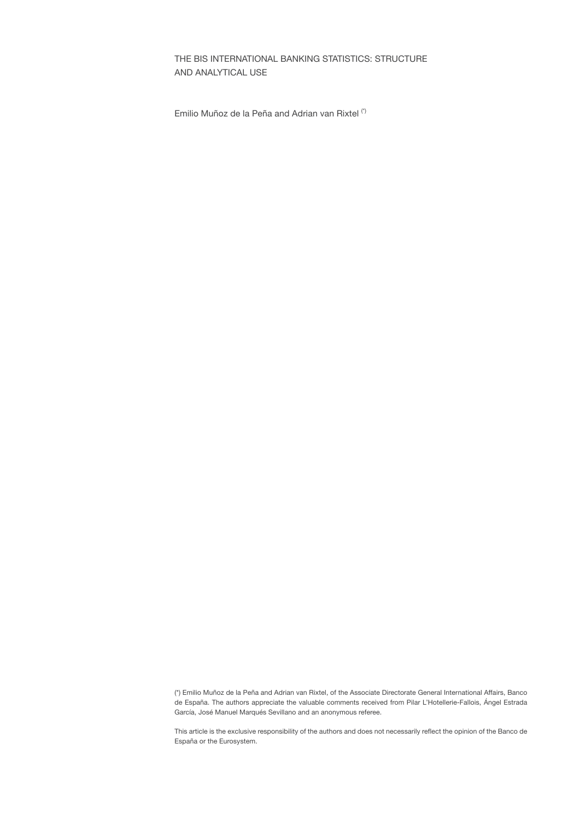# THE BIS INTERNATIONAL BANKING STATISTICS: STRUCTURE AND ANALYTICAL USE

Emilio Muñoz de la Peña and Adrian van Rixtel (\*)

(\*) Emilio Muñoz de la Peña and Adrian van Rixtel, of the Associate Directorate General International Affairs, Banco de España. The authors appreciate the valuable comments received from Pilar L'Hotellerie-Fallois, Ángel Estrada García, José Manuel Marqués Sevillano and an anonymous referee.

This article is the exclusive responsibility of the authors and does not necessarily reflect the opinion of the Banco de España or the Eurosystem.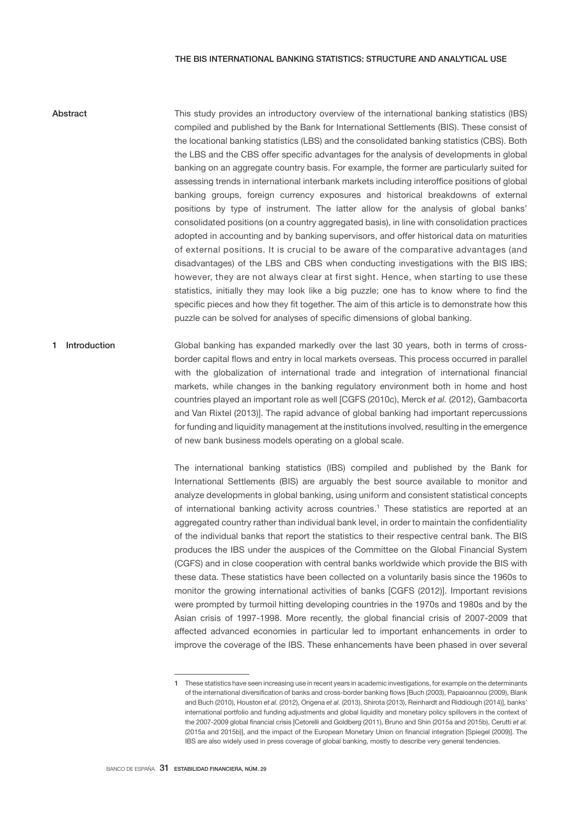## THE BIS INTERNATIONAL BANKING STATISTICS: STRUCTURE AND ANALYTICAL USE

- This study provides an introductory overview of the international banking statistics (IBS) compiled and published by the Bank for International Settlements (BIS). These consist of the locational banking statistics (LBS) and the consolidated banking statistics (CBS). Both the LBS and the CBS offer specific advantages for the analysis of developments in global banking on an aggregate country basis. For example, the former are particularly suited for assessing trends in international interbank markets including interoffice positions of global banking groups, foreign currency exposures and historical breakdowns of external positions by type of instrument. The latter allow for the analysis of global banks' consolidated positions (on a country aggregated basis), in line with consolidation practices adopted in accounting and by banking supervisors, and offer historical data on maturities of external positions. It is crucial to be aware of the comparative advantages (and disadvantages) of the LBS and CBS when conducting investigations with the BIS IBS; however, they are not always clear at first sight. Hence, when starting to use these statistics, initially they may look like a big puzzle; one has to know where to find the specific pieces and how they fit together. The aim of this article is to demonstrate how this puzzle can be solved for analyses of specific dimensions of global banking. Abstract
- Global banking has expanded markedly over the last 30 years, both in terms of crossborder capital flows and entry in local markets overseas. This process occurred in parallel with the globalization of international trade and integration of international financial markets, while changes in the banking regulatory environment both in home and host countries played an important role as well [CGFS (2010c), Merck *et al.* (2012), Gambacorta and Van Rixtel (2013)]. The rapid advance of global banking had important repercussions for funding and liquidity management at the institutions involved, resulting in the emergence of new bank business models operating on a global scale. 1 Introduction

The international banking statistics (IBS) compiled and published by the Bank for International Settlements (BIS) are arguably the best source available to monitor and analyze developments in global banking, using uniform and consistent statistical concepts of international banking activity across countries.<sup>1</sup> These statistics are reported at an aggregated country rather than individual bank level, in order to maintain the confidentiality of the individual banks that report the statistics to their respective central bank. The BIS produces the IBS under the auspices of the Committee on the Global Financial System (CGFS) and in close cooperation with central banks worldwide which provide the BIS with these data. These statistics have been collected on a voluntarily basis since the 1960s to monitor the growing international activities of banks [CGFS (2012)]. Important revisions were prompted by turmoil hitting developing countries in the 1970s and 1980s and by the Asian crisis of 1997-1998. More recently, the global financial crisis of 2007-2009 that affected advanced economies in particular led to important enhancements in order to improve the coverage of the IBS. These enhancements have been phased in over several

<sup>1</sup> These statistics have seen increasing use in recent years in academic investigations, for example on the determinants of the international diversification of banks and cross-border banking flows [Buch (2003), Papaioannou (2009), Blank and Buch (2010), Houston *et al.* (2012), Ongena *et al.* (2013), Shirota (2013), Reinhardt and Riddiough (2014)], banks' international portfolio and funding adjustments and global liquidity and monetary policy spillovers in the context of the 2007-2009 global financial crisis [Cetorelli and Goldberg (2011), Bruno and Shin (2015a and 2015b), Cerutti *et al.*  (2015a and 2015b)], and the impact of the European Monetary Union on financial integration [Spiegel (2009)]. The IBS are also widely used in press coverage of global banking, mostly to describe very general tendencies.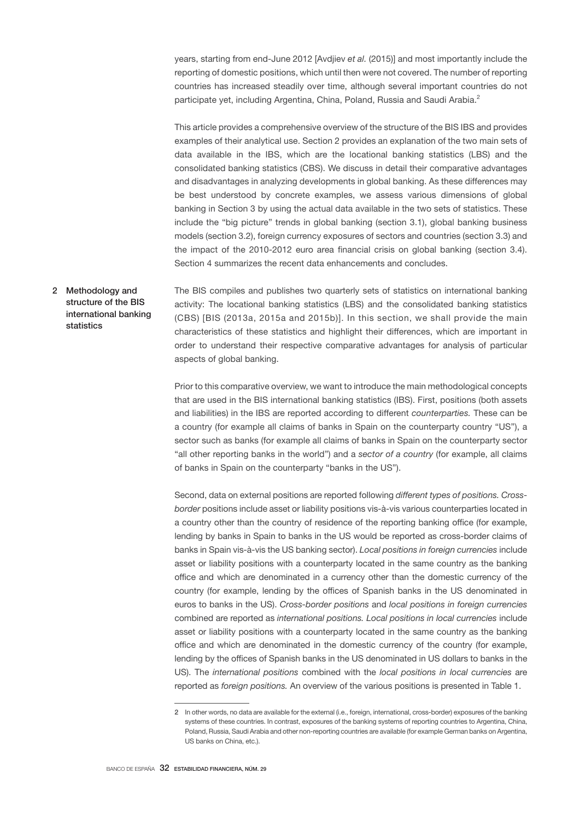years, starting from end-June 2012 [Avdjiev *et al.* (2015)] and most importantly include the reporting of domestic positions, which until then were not covered. The number of reporting countries has increased steadily over time, although several important countries do not participate yet, including Argentina, China, Poland, Russia and Saudi Arabia.<sup>2</sup>

This article provides a comprehensive overview of the structure of the BIS IBS and provides examples of their analytical use. Section 2 provides an explanation of the two main sets of data available in the IBS, which are the locational banking statistics (LBS) and the consolidated banking statistics (CBS). We discuss in detail their comparative advantages and disadvantages in analyzing developments in global banking. As these differences may be best understood by concrete examples, we assess various dimensions of global banking in Section 3 by using the actual data available in the two sets of statistics. These include the "big picture" trends in global banking (section 3.1), global banking business models (section 3.2), foreign currency exposures of sectors and countries (section 3.3) and the impact of the 2010-2012 euro area financial crisis on global banking (section 3.4). Section 4 summarizes the recent data enhancements and concludes.

The BIS compiles and publishes two quarterly sets of statistics on international banking activity: The locational banking statistics (LBS) and the consolidated banking statistics (CBS) [BIS (2013a, 2015a and 2015b)]. In this section, we shall provide the main characteristics of these statistics and highlight their differences, which are important in order to understand their respective comparative advantages for analysis of particular aspects of global banking. 2 Methodology and structure of the BIS international banking statistics

> Prior to this comparative overview, we want to introduce the main methodological concepts that are used in the BIS international banking statistics (IBS). First, positions (both assets and liabilities) in the IBS are reported according to different *counterparties.* These can be a country (for example all claims of banks in Spain on the counterparty country "US"), a sector such as banks (for example all claims of banks in Spain on the counterparty sector "all other reporting banks in the world") and a *sector of a country* (for example, all claims of banks in Spain on the counterparty "banks in the US").

> Second, data on external positions are reported following *different types of positions. Crossborder* positions include asset or liability positions vis-à-vis various counterparties located in a country other than the country of residence of the reporting banking office (for example, lending by banks in Spain to banks in the US would be reported as cross-border claims of banks in Spain vis-à-vis the US banking sector). *Local positions in foreign currencies* include asset or liability positions with a counterparty located in the same country as the banking office and which are denominated in a currency other than the domestic currency of the country (for example, lending by the offices of Spanish banks in the US denominated in euros to banks in the US). *Cross-border positions* and *local positions in foreign currencies* combined are reported as *international positions. Local positions in local currencies* include asset or liability positions with a counterparty located in the same country as the banking office and which are denominated in the domestic currency of the country (for example, lending by the offices of Spanish banks in the US denominated in US dollars to banks in the US). The *international positions* combined with the *local positions in local currencies* are reported as *foreign positions.* An overview of the various positions is presented in Table 1.

<sup>2</sup> In other words, no data are available for the external (i.e., foreign, international, cross-border) exposures of the banking systems of these countries. In contrast, exposures of the banking systems of reporting countries to Argentina, China, Poland, Russia, Saudi Arabia and other non-reporting countries are available (for example German banks on Argentina, US banks on China, etc.).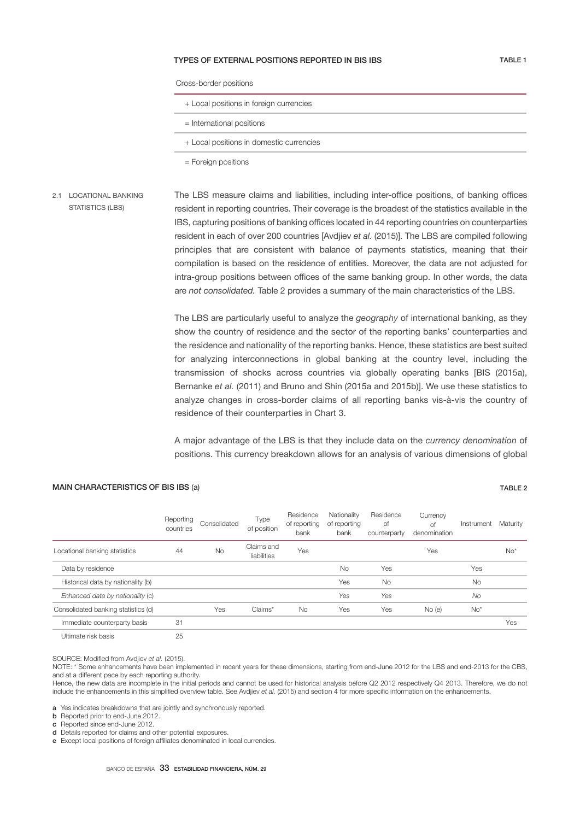## TYPES OF EXTERNAL POSITIONS REPORTED IN BIS IBS TABLE 1

Cross-border positions

| + Local positions in foreign currencies |
|-----------------------------------------|
|                                         |

= International positions

+ Local positions in domestic currencies

= Foreign positions

The LBS measure claims and liabilities, including inter-office positions, of banking offices resident in reporting countries. Their coverage is the broadest of the statistics available in the IBS, capturing positions of banking offices located in 44 reporting countries on counterparties resident in each of over 200 countries [Avdjiev *et al.* (2015)]. The LBS are compiled following principles that are consistent with balance of payments statistics, meaning that their compilation is based on the residence of entities. Moreover, the data are not adjusted for intra-group positions between offices of the same banking group. In other words, the data are *not consolidated.* Table 2 provides a summary of the main characteristics of the LBS. 2.1 LOCATIONAL BANKING STATISTICS (LBS)

> The LBS are particularly useful to analyze the *geography* of international banking, as they show the country of residence and the sector of the reporting banks' counterparties and the residence and nationality of the reporting banks. Hence, these statistics are best suited for analyzing interconnections in global banking at the country level, including the transmission of shocks across countries via globally operating banks [BIS (2015a), Bernanke *et al.* (2011) and Bruno and Shin (2015a and 2015b)]. We use these statistics to analyze changes in cross-border claims of all reporting banks vis-à-vis the country of residence of their counterparties in Chart 3.

> A major advantage of the LBS is that they include data on the *currency denomination* of positions. This currency breakdown allows for an analysis of various dimensions of global

## MAIN CHARACTERISTICS OF BIS IBS (a) TABLE 2

Reporting Reporting Consolidated Type<br>countries Consolidated of position of position Residence of reporting bank Nationality of reporting bank Residence of counterparty Currency of denomination Instrument Maturity Locational banking statistics <br>  $\begin{array}{ccc}\n & 44 & \text{No} \\
& \text{Claims and} \\
& \text{lightities}\n\end{array}$ while the version of the version of the version of the version of the version of the version of the version of  $N$ o\* Data by residence and the control of the control of the control of the control of the control of the control of the control of the control of the control of the control of the control of the control of the control of the c Historical data by nationality (b) and the set of the set of the set of the set of the set of the set of the set of the set of the set of the set of the set of the set of the set of the set of the set of the set of the set  *Enhanced data by nationality* (B) *Yes Yes No* Consolidated banking statistics (d)  $\gamma$  / Yes Claims\* No Yes Yes No (e) No<sup>\*</sup> Immediate counterparty basis and the state of the state of the state of the state of the state of the state of the state of the state of the state of the state of the state of the state of the state of the state of the sta UKSiL@SDQiRJ A@RiR 25

SOURCE: Modified from Avdiiev et al. (2015).

NOTE: \* Some enhancements have been implemented in recent years for these dimensions, starting from end-June 2012 for the LBS and end-2013 for the CBS, and at a different pace by each reporting authority.

Hence, the new data are incomplete in the initial periods and cannot be used for historical analysis before Q2 2012 respectively Q4 2013. Therefore, we do not include the enhancements in this simplified overview table. See Avdjiev et al. (2015) and section 4 for more specific information on the enhancements.

a Yes indicates breakdowns that are jointly and synchronously reported.

**b** Reported prior to end-June 2012.

c Reported since end-June 2012.

d Details reported for claims and other potential exposures

e Except local positions of foreign affiliates denominated in local currencies.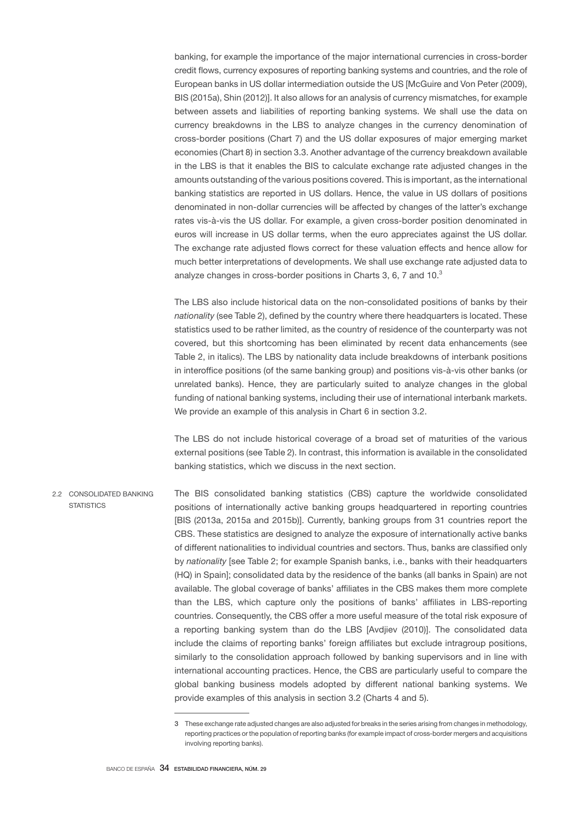banking, for example the importance of the major international currencies in cross-border credit flows, currency exposures of reporting banking systems and countries, and the role of European banks in US dollar intermediation outside the US [McGuire and Von Peter (2009), BIS (2015a), Shin (2012)]. It also allows for an analysis of currency mismatches, for example between assets and liabilities of reporting banking systems. We shall use the data on currency breakdowns in the LBS to analyze changes in the currency denomination of cross-border positions (Chart 7) and the US dollar exposures of major emerging market economies (Chart 8) in section 3.3. Another advantage of the currency breakdown available in the LBS is that it enables the BIS to calculate exchange rate adjusted changes in the amounts outstanding of the various positions covered. This is important, as the international banking statistics are reported in US dollars. Hence, the value in US dollars of positions denominated in non-dollar currencies will be affected by changes of the latter's exchange rates vis-à-vis the US dollar. For example, a given cross-border position denominated in euros will increase in US dollar terms, when the euro appreciates against the US dollar. The exchange rate adjusted flows correct for these valuation effects and hence allow for much better interpretations of developments. We shall use exchange rate adjusted data to analyze changes in cross-border positions in Charts 3, 6, 7 and 10.<sup>3</sup>

The LBS also include historical data on the non-consolidated positions of banks by their *nationality* (see Table 2), defined by the country where there headquarters is located. These statistics used to be rather limited, as the country of residence of the counterparty was not covered, but this shortcoming has been eliminated by recent data enhancements (see Table 2, in italics). The LBS by nationality data include breakdowns of interbank positions in interoffice positions (of the same banking group) and positions vis-à-vis other banks (or unrelated banks). Hence, they are particularly suited to analyze changes in the global funding of national banking systems, including their use of international interbank markets. We provide an example of this analysis in Chart 6 in section 3.2.

The LBS do not include historical coverage of a broad set of maturities of the various external positions (see Table 2). In contrast, this information is available in the consolidated banking statistics, which we discuss in the next section.

The BIS consolidated banking statistics (CBS) capture the worldwide consolidated positions of internationally active banking groups headquartered in reporting countries [BIS (2013a, 2015a and 2015b)]. Currently, banking groups from 31 countries report the CBS. These statistics are designed to analyze the exposure of internationally active banks of different nationalities to individual countries and sectors. Thus, banks are classified only by *nationality* [see Table 2; for example Spanish banks, i.e., banks with their headquarters (HQ) in Spain]; consolidated data by the residence of the banks (all banks in Spain) are not available. The global coverage of banks' affiliates in the CBS makes them more complete than the LBS, which capture only the positions of banks' affiliates in LBS-reporting countries. Consequently, the CBS offer a more useful measure of the total risk exposure of a reporting banking system than do the LBS [Avdjiev (2010)]. The consolidated data include the claims of reporting banks' foreign affiliates but exclude intragroup positions, similarly to the consolidation approach followed by banking supervisors and in line with international accounting practices. Hence, the CBS are particularly useful to compare the global banking business models adopted by different national banking systems. We provide examples of this analysis in section 3.2 (Charts 4 and 5). 2.2 CONSOLIDATED BANKING **STATISTICS** 

<sup>3</sup> These exchange rate adjusted changes are also adjusted for breaks in the series arising from changes in methodology, reporting practices or the population of reporting banks (for example impact of cross-border mergers and acquisitions involving reporting banks).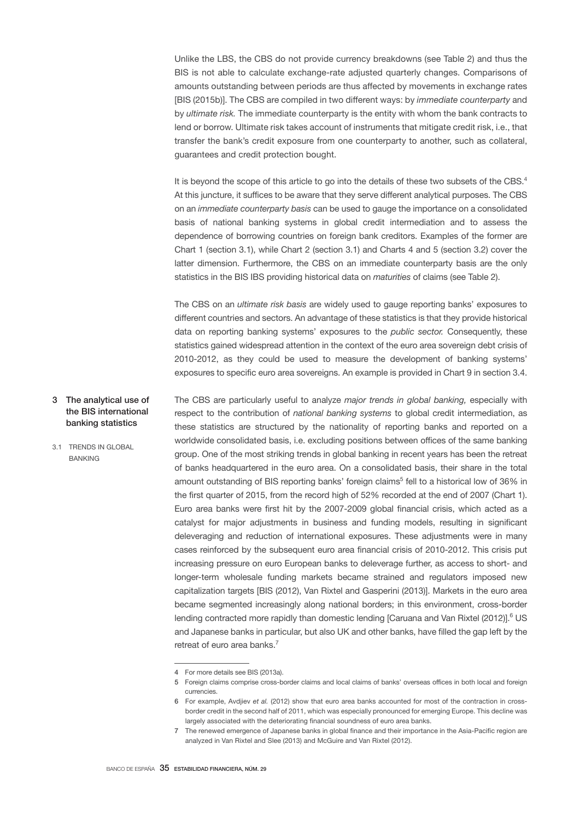Unlike the LBS, the CBS do not provide currency breakdowns (see Table 2) and thus the BIS is not able to calculate exchange-rate adjusted quarterly changes. Comparisons of amounts outstanding between periods are thus affected by movements in exchange rates [BIS (2015b)]. The CBS are compiled in two different ways: by *immediate counterparty* and by *ultimate risk.* The immediate counterparty is the entity with whom the bank contracts to lend or borrow. Ultimate risk takes account of instruments that mitigate credit risk, i.e., that transfer the bank's credit exposure from one counterparty to another, such as collateral, guarantees and credit protection bought.

It is beyond the scope of this article to go into the details of these two subsets of the CBS.<sup>4</sup> At this juncture, it suffices to be aware that they serve different analytical purposes. The CBS on an *immediate counterparty basis* can be used to gauge the importance on a consolidated basis of national banking systems in global credit intermediation and to assess the dependence of borrowing countries on foreign bank creditors. Examples of the former are Chart 1 (section 3.1), while Chart 2 (section 3.1) and Charts 4 and 5 (section 3.2) cover the latter dimension. Furthermore, the CBS on an immediate counterparty basis are the only statistics in the BIS IBS providing historical data on *maturities* of claims (see Table 2).

The CBS on an *ultimate risk basis* are widely used to gauge reporting banks' exposures to different countries and sectors. An advantage of these statistics is that they provide historical data on reporting banking systems' exposures to the *public sector.* Consequently, these statistics gained widespread attention in the context of the euro area sovereign debt crisis of 2010-2012, as they could be used to measure the development of banking systems' exposures to specific euro area sovereigns. An example is provided in Chart 9 in section 3.4.

The CBS are particularly useful to analyze *major trends in global banking,* especially with respect to the contribution of *national banking systems* to global credit intermediation, as these statistics are structured by the nationality of reporting banks and reported on a worldwide consolidated basis, i.e. excluding positions between offices of the same banking group. One of the most striking trends in global banking in recent years has been the retreat of banks headquartered in the euro area. On a consolidated basis, their share in the total amount outstanding of BIS reporting banks' foreign claims<sup>5</sup> fell to a historical low of 36% in the first quarter of 2015, from the record high of 52% recorded at the end of 2007 (Chart 1). Euro area banks were first hit by the 2007-2009 global financial crisis, which acted as a catalyst for major adjustments in business and funding models, resulting in significant deleveraging and reduction of international exposures. These adjustments were in many cases reinforced by the subsequent euro area financial crisis of 2010-2012. This crisis put increasing pressure on euro European banks to deleverage further, as access to short- and longer-term wholesale funding markets became strained and regulators imposed new capitalization targets [BIS (2012), Van Rixtel and Gasperini (2013)]. Markets in the euro area became segmented increasingly along national borders; in this environment, cross-border lending contracted more rapidly than domestic lending [Caruana and Van Rixtel (2012)].<sup>6</sup> US and Japanese banks in particular, but also UK and other banks, have filled the gap left by the retreat of euro area banks.<sup>7</sup> 3 The analytical use of the BIS international banking statistics 3.1 TRENDS IN GLOBAL BANKING

<sup>4</sup> For more details see BIS (2013a).

<sup>5</sup> Foreign claims comprise cross-border claims and local claims of banks' overseas offices in both local and foreign currencies.

<sup>6</sup> For example, Avdjiev *et al.* (2012) show that euro area banks accounted for most of the contraction in crossborder credit in the second half of 2011, which was especially pronounced for emerging Europe. This decline was largely associated with the deteriorating financial soundness of euro area banks.

<sup>7</sup> The renewed emergence of Japanese banks in global finance and their importance in the Asia-Pacific region are analyzed in Van Rixtel and Slee (2013) and McGuire and Van Rixtel (2012).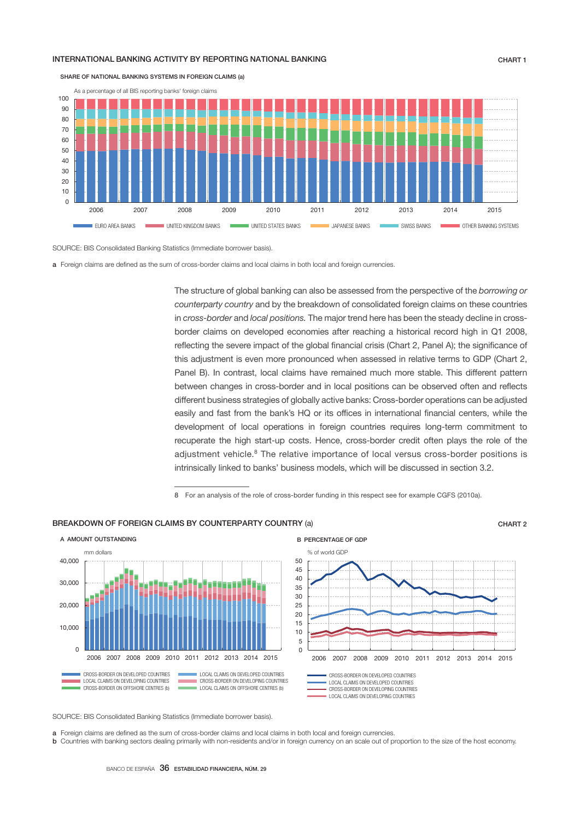### INTERNATIONAL BANKING ACTIVITY BY REPORTING NATIONAL BANKING **CHART 1** CHART 1



SHARE OF NATIONAL BANKING SYSTEMS IN FOREIGN CLAIMS (a)

SOURCE: BIS Consolidated Banking Statistics (Immediate borrower basis).

a Foreign claims are defined as the sum of cross-border claims and local claims in both local and foreign currencies.

The structure of global banking can also be assessed from the perspective of the *borrowing or counterparty country* and by the breakdown of consolidated foreign claims on these countries in *cross-border* and *local positions.* The major trend here has been the steady decline in crossborder claims on developed economies after reaching a historical record high in Q1 2008, reflecting the severe impact of the global financial crisis (Chart 2, Panel A); the significance of this adjustment is even more pronounced when assessed in relative terms to GDP (Chart 2, Panel B). In contrast, local claims have remained much more stable. This different pattern between changes in cross-border and in local positions can be observed often and reflects different business strategies of globally active banks: Cross-border operations can be adjusted easily and fast from the bank's HQ or its offices in international financial centers, while the development of local operations in foreign countries requires long-term commitment to recuperate the high start-up costs. Hence, cross-border credit often plays the role of the adjustment vehicle.<sup>8</sup> The relative importance of local versus cross-border positions is intrinsically linked to banks' business models, which will be discussed in section 3.2.

8 For an analysis of the role of cross-border funding in this respect see for example CGFS (2010a).

### BREAKDOWN OF FORFIGN CLAIMS BY COUNTERPARTY COUNTRY (a) CHART 2





SOURCE: BIS Consolidated Banking Statistics (Immediate borrower basis).

a Foreign claims are defined as the sum of cross-border claims and local claims in both local and foreign currencies

b Countries with banking sectors dealing primarily with non-residents and/or in foreign currency on an scale out of proportion to the size of the host economy.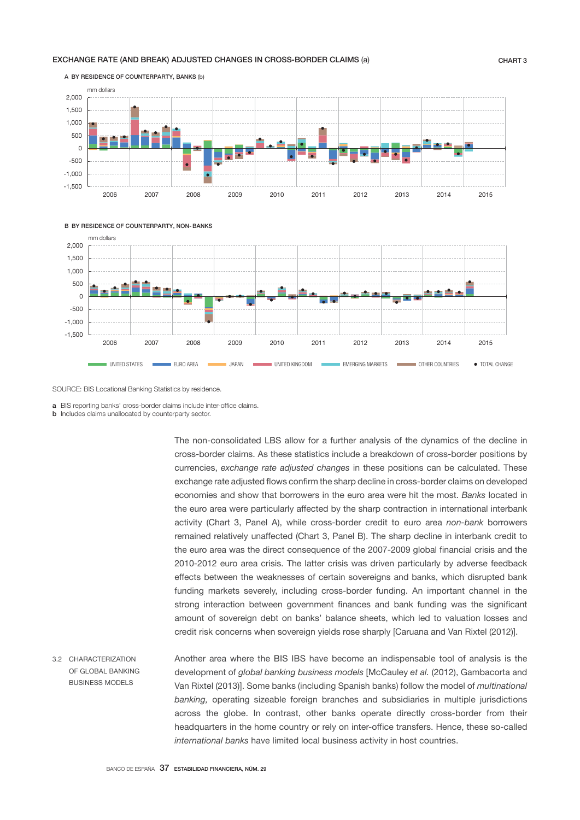## EXCHANGE RATE (AND BREAK) ADJUSTED CHANGES IN CROSS-BORDER CLAIMS (a) CHART 3



B BY RESIDENCE OF COUNTERPARTY, NON- BANKS



SOURCE: BIS Locational Banking Statistics by residence.

a BIS reporting banks' cross-border claims include inter-office claims

**b** Includes claims unallocated by counterparty sector.

The non-consolidated LBS allow for a further analysis of the dynamics of the decline in cross-border claims. As these statistics include a breakdown of cross-border positions by currencies, *exchange rate adjusted changes* in these positions can be calculated. These exchange rate adjusted flows confirm the sharp decline in cross-border claims on developed economies and show that borrowers in the euro area were hit the most. *Banks* located in the euro area were particularly affected by the sharp contraction in international interbank activity (Chart 3, Panel A), while cross-border credit to euro area *non-bank* borrowers remained relatively unaffected (Chart 3, Panel B). The sharp decline in interbank credit to the euro area was the direct consequence of the 2007-2009 global financial crisis and the 2010-2012 euro area crisis. The latter crisis was driven particularly by adverse feedback effects between the weaknesses of certain sovereigns and banks, which disrupted bank funding markets severely, including cross-border funding. An important channel in the strong interaction between government finances and bank funding was the significant amount of sovereign debt on banks' balance sheets, which led to valuation losses and credit risk concerns when sovereign yields rose sharply [Caruana and Van Rixtel (2012)].

Another area where the BIS IBS have become an indispensable tool of analysis is the development of *global banking business models* [McCauley *et al.* (2012), Gambacorta and Van Rixtel (2013)]. Some banks (including Spanish banks) follow the model of *multinational banking,* operating sizeable foreign branches and subsidiaries in multiple jurisdictions across the globe. In contrast, other banks operate directly cross-border from their headquarters in the home country or rely on inter-office transfers. Hence, these so-called *international banks* have limited local business activity in host countries. 3.2 CHARACTERIZATION OF GLOBAL BANKING BUSINESS MODELS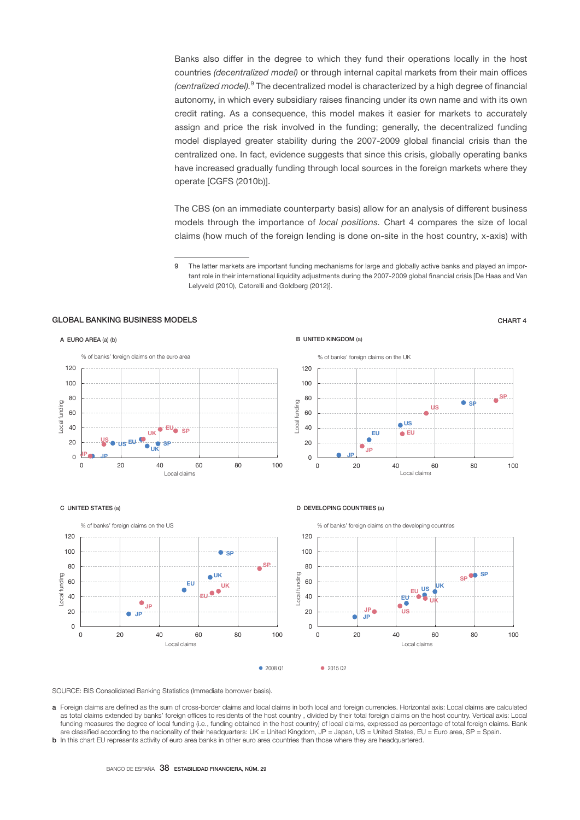Banks also differ in the degree to which they fund their operations locally in the host countries *(decentralized model)* or through internal capital markets from their main offices *(centralized model).*<sup>9</sup> The decentralized model is characterized by a high degree of financial autonomy, in which every subsidiary raises financing under its own name and with its own credit rating. As a consequence, this model makes it easier for markets to accurately assign and price the risk involved in the funding; generally, the decentralized funding model displayed greater stability during the 2007-2009 global financial crisis than the centralized one. In fact, evidence suggests that since this crisis, globally operating banks have increased gradually funding through local sources in the foreign markets where they operate [CGFS (2010b)].

The CBS (on an immediate counterparty basis) allow for an analysis of different business models through the importance of *local positions.* Chart 4 compares the size of local claims (how much of the foreign lending is done on-site in the host country, x-axis) with

9 The latter markets are important funding mechanisms for large and globally active banks and played an important role in their international liquidity adjustments during the 2007-2009 global financial crisis [De Haas and Van Lelyveld (2010), Cetorelli and Goldberg (2012)].

## GLOBAL BANKING BUSINESS MODELS CHART 4



SP

 $\bullet$  sp



#### C UNITED STATES (a)



### D DEVELOPING COUNTRIES (a)

JP

EU

JP

**o**US

 $\bullet$  EU

Local claims

US



● 2008 Q1 2015 Q2

SOURCE: BIS Consolidated Banking Statistics (Immediate borrower basis).

- a Foreign claims are defined as the sum of cross-border claims and local claims in both local and foreign currencies. Horizontal axis: Local claims are calculated as total claims extended by banks' foreign offices to residents of the host country, divided by their total foreign claims on the host country. Vertical axis: Local funding measures the degree of local funding (i.e., funding obtained in the host country) of local claims, expressed as percentage of total foreign claims. Bank are classified according to the nacionality of their headquarters: UK = United Kingdom, JP = Japan, US = United States, EU = Euro area, SP = Spain.
- **b** In this chart EU represents activity of euro area banks in other euro area countries than those where they are headquartered.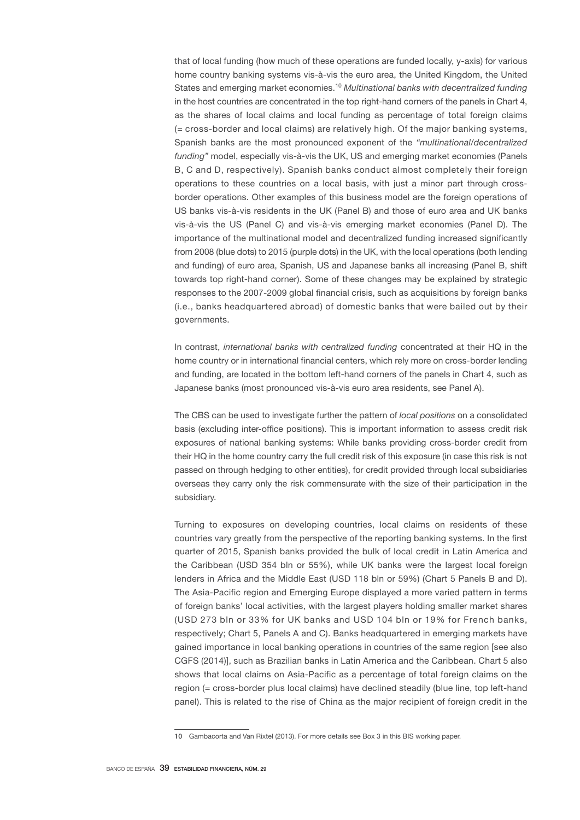that of local funding (how much of these operations are funded locally, y-axis) for various home country banking systems vis-à-vis the euro area, the United Kingdom, the United States and emerging market economies.<sup>10</sup> *Multinational banks with decentralized funding* in the host countries are concentrated in the top right-hand corners of the panels in Chart 4, as the shares of local claims and local funding as percentage of total foreign claims (= cross-border and local claims) are relatively high. Of the major banking systems, Spanish banks are the most pronounced exponent of the *"multinational/decentralized funding"* model, especially vis-à-vis the UK, US and emerging market economies (Panels B, C and D, respectively). Spanish banks conduct almost completely their foreign operations to these countries on a local basis, with just a minor part through crossborder operations. Other examples of this business model are the foreign operations of US banks vis-à-vis residents in the UK (Panel B) and those of euro area and UK banks vis-à-vis the US (Panel C) and vis-à-vis emerging market economies (Panel D). The importance of the multinational model and decentralized funding increased significantly from 2008 (blue dots) to 2015 (purple dots) in the UK, with the local operations (both lending and funding) of euro area, Spanish, US and Japanese banks all increasing (Panel B, shift towards top right-hand corner). Some of these changes may be explained by strategic responses to the 2007-2009 global financial crisis, such as acquisitions by foreign banks (i.e., banks headquartered abroad) of domestic banks that were bailed out by their governments.

In contrast, *international banks with centralized funding* concentrated at their HQ in the home country or in international financial centers, which rely more on cross-border lending and funding, are located in the bottom left-hand corners of the panels in Chart 4, such as Japanese banks (most pronounced vis-à-vis euro area residents, see Panel A).

The CBS can be used to investigate further the pattern of *local positions* on a consolidated basis (excluding inter-office positions). This is important information to assess credit risk exposures of national banking systems: While banks providing cross-border credit from their HQ in the home country carry the full credit risk of this exposure (in case this risk is not passed on through hedging to other entities), for credit provided through local subsidiaries overseas they carry only the risk commensurate with the size of their participation in the subsidiary.

Turning to exposures on developing countries, local claims on residents of these countries vary greatly from the perspective of the reporting banking systems. In the first quarter of 2015, Spanish banks provided the bulk of local credit in Latin America and the Caribbean (USD 354 bln or 55%), while UK banks were the largest local foreign lenders in Africa and the Middle East (USD 118 bln or 59%) (Chart 5 Panels B and D). The Asia-Pacific region and Emerging Europe displayed a more varied pattern in terms of foreign banks' local activities, with the largest players holding smaller market shares (USD 273 bln or 33% for UK banks and USD 104 bln or 19% for French banks, respectively; Chart 5, Panels A and C). Banks headquartered in emerging markets have gained importance in local banking operations in countries of the same region [see also CGFS (2014)], such as Brazilian banks in Latin America and the Caribbean. Chart 5 also shows that local claims on Asia-Pacific as a percentage of total foreign claims on the region (= cross-border plus local claims) have declined steadily (blue line, top left-hand panel). This is related to the rise of China as the major recipient of foreign credit in the

<sup>10</sup> Gambacorta and Van Rixtel (2013). For more details see Box 3 in this BIS working paper.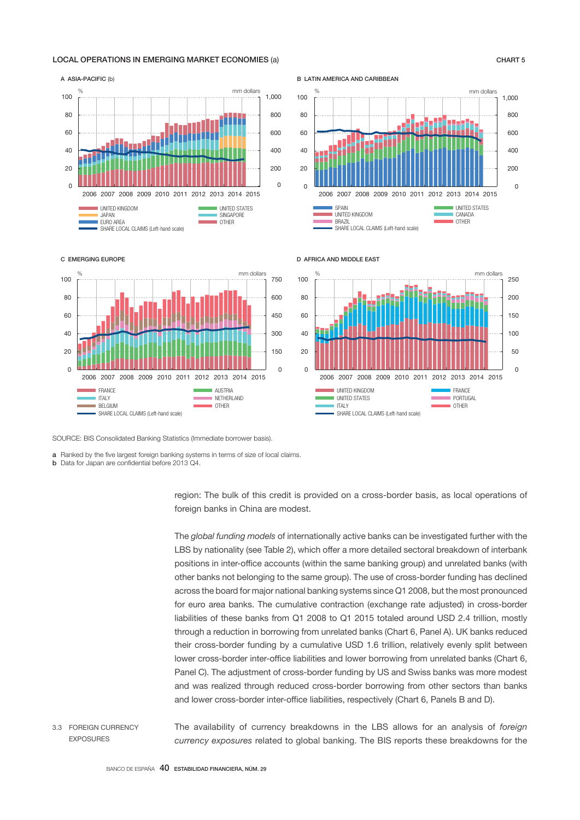### LOCAL OPERATIONS IN EMERGING MARKET ECONOMIES (a) CHART 5

#### 200  $\Omega$ 400  $600$ 800 1,000  $\Omega$ 20 40  $60$ 80 100 2006 2007 2008 2009 2010 2011 2012 2013 2014 2015 UNITED KINGDOM UNITED STATES<br>UNITED KINGDOM UNITED STATES JAPAN SINGAPORE<br>EURO AREA SANGAPORE EURO AREA SANGAPORE EURO AREA OTHER SHARE LOCAL CLAIMS (Left-hand scale) A ASIA-PACIFIC (b) mm dollars

B LATIN AMERICA AND CARIBBEAN



#### C EMERGING EUROPE



#### D AFRICA AND MIDDLE EAST



SOURCE: BIS Consolidated Banking Statistics (Immediate borrower basis).

a Ranked by the five largest foreign banking systems in terms of size of local claims.

**b** Data for Japan are confidential before 2013 04.

region: The bulk of this credit is provided on a cross-border basis, as local operations of foreign banks in China are modest.

The *global funding models* of internationally active banks can be investigated further with the LBS by nationality (see Table 2), which offer a more detailed sectoral breakdown of interbank positions in inter-office accounts (within the same banking group) and unrelated banks (with other banks not belonging to the same group). The use of cross-border funding has declined across the board for major national banking systems since Q1 2008, but the most pronounced for euro area banks. The cumulative contraction (exchange rate adjusted) in cross-border liabilities of these banks from Q1 2008 to Q1 2015 totaled around USD 2.4 trillion, mostly through a reduction in borrowing from unrelated banks (Chart 6, Panel A). UK banks reduced their cross-border funding by a cumulative USD 1.6 trillion, relatively evenly split between lower cross-border inter-office liabilities and lower borrowing from unrelated banks (Chart 6, Panel C). The adjustment of cross-border funding by US and Swiss banks was more modest and was realized through reduced cross-border borrowing from other sectors than banks and lower cross-border inter-office liabilities, respectively (Chart 6, Panels B and D).

The availability of currency breakdowns in the LBS allows for an analysis of *foreign currency exposures* related to global banking. The BIS reports these breakdowns for the 3.3 FOREIGN CURRENCY EXPOSURES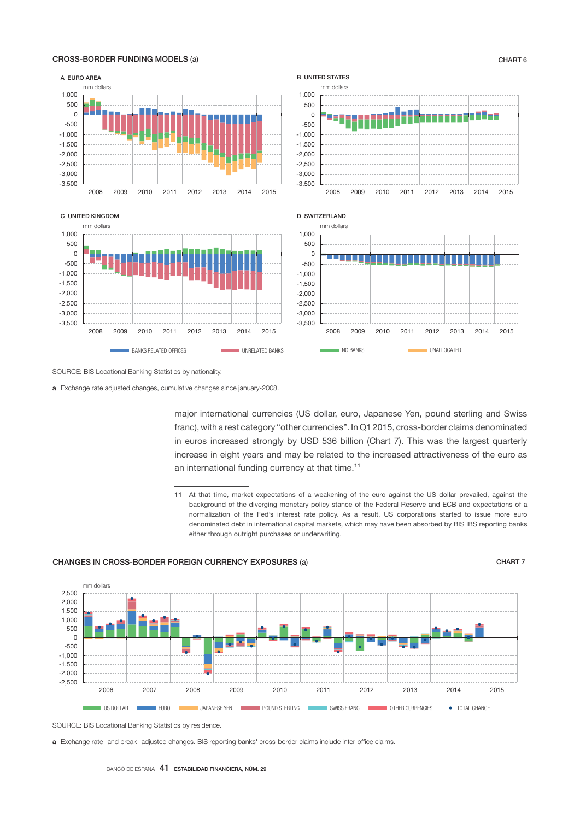

## CROSS-BORDER FUNDING MODELS (a) CHART 6

SOURCE: BIS Locational Banking Statistics by nationality.

a Exchange rate adjusted changes, cumulative changes since january-2008.

major international currencies (US dollar, euro, Japanese Yen, pound sterling and Swiss franc), with a rest category "other currencies". In Q1 2015, cross-border claims denominated in euros increased strongly by USD 536 billion (Chart 7). This was the largest quarterly increase in eight years and may be related to the increased attractiveness of the euro as an international funding currency at that time.<sup>11</sup>

## CHANGES IN CROSS-BORDER FOREIGN CURRENCY EXPOSURES (a) CHART 7



SOURCE: BIS Locational Banking Statistics by residence.

a Exchange rate- and break- adjusted changes. BIS reporting banks' cross-border claims include inter-office claims.

<sup>11</sup> At that time, market expectations of a weakening of the euro against the US dollar prevailed, against the background of the diverging monetary policy stance of the Federal Reserve and ECB and expectations of a normalization of the Fed's interest rate policy. As a result, US corporations started to issue more euro denominated debt in international capital markets, which may have been absorbed by BIS IBS reporting banks either through outright purchases or underwriting.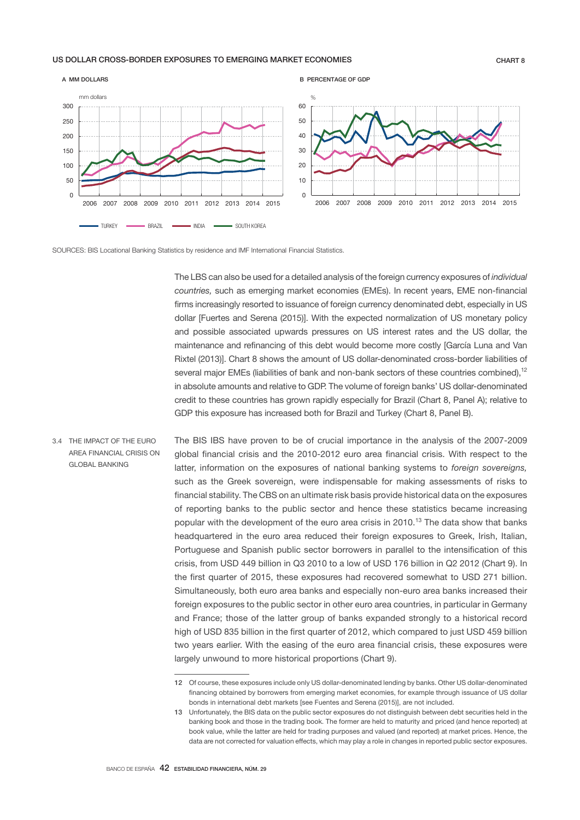## US DOLLAR CROSS-BORDER EXPOSURES TO EMERGING MARKET ECONOMIES CHART 8





The LBS can also be used for a detailed analysis of the foreign currency exposures of *individual countries,* such as emerging market economies (EMEs). In recent years, EME non-financial firms increasingly resorted to issuance of foreign currency denominated debt, especially in US dollar [Fuertes and Serena (2015)]. With the expected normalization of US monetary policy and possible associated upwards pressures on US interest rates and the US dollar, the maintenance and refinancing of this debt would become more costly [García Luna and Van Rixtel (2013)]. Chart 8 shows the amount of US dollar-denominated cross-border liabilities of several major EMEs (liabilities of bank and non-bank sectors of these countries combined),<sup>12</sup> in absolute amounts and relative to GDP. The volume of foreign banks' US dollar-denominated credit to these countries has grown rapidly especially for Brazil (Chart 8, Panel A); relative to GDP this exposure has increased both for Brazil and Turkey (Chart 8, Panel B).

The BIS IBS have proven to be of crucial importance in the analysis of the 2007-2009 global financial crisis and the 2010-2012 euro area financial crisis. With respect to the latter, information on the exposures of national banking systems to *foreign sovereigns,*  such as the Greek sovereign, were indispensable for making assessments of risks to financial stability. The CBS on an ultimate risk basis provide historical data on the exposures of reporting banks to the public sector and hence these statistics became increasing popular with the development of the euro area crisis in 2010.<sup>13</sup> The data show that banks headquartered in the euro area reduced their foreign exposures to Greek, Irish, Italian, Portuguese and Spanish public sector borrowers in parallel to the intensification of this crisis, from USD 449 billion in Q3 2010 to a low of USD 176 billion in Q2 2012 (Chart 9). In the first quarter of 2015, these exposures had recovered somewhat to USD 271 billion. Simultaneously, both euro area banks and especially non-euro area banks increased their foreign exposures to the public sector in other euro area countries, in particular in Germany and France; those of the latter group of banks expanded strongly to a historical record high of USD 835 billion in the first quarter of 2012, which compared to just USD 459 billion two years earlier. With the easing of the euro area financial crisis, these exposures were largely unwound to more historical proportions (Chart 9). 3.4 THE IMPACT OF THE EURO AREA FINANCIAL CRISIS ON GLOBAL BANKING

<sup>12</sup> Of course, these exposures include only US dollar-denominated lending by banks. Other US dollar-denominated financing obtained by borrowers from emerging market economies, for example through issuance of US dollar bonds in international debt markets [see Fuentes and Serena (2015)], are not included.

<sup>13</sup> Unfortunately, the BIS data on the public sector exposures do not distinguish between debt securities held in the banking book and those in the trading book. The former are held to maturity and priced (and hence reported) at book value, while the latter are held for trading purposes and valued (and reported) at market prices. Hence, the data are not corrected for valuation effects, which may play a role in changes in reported public sector exposures.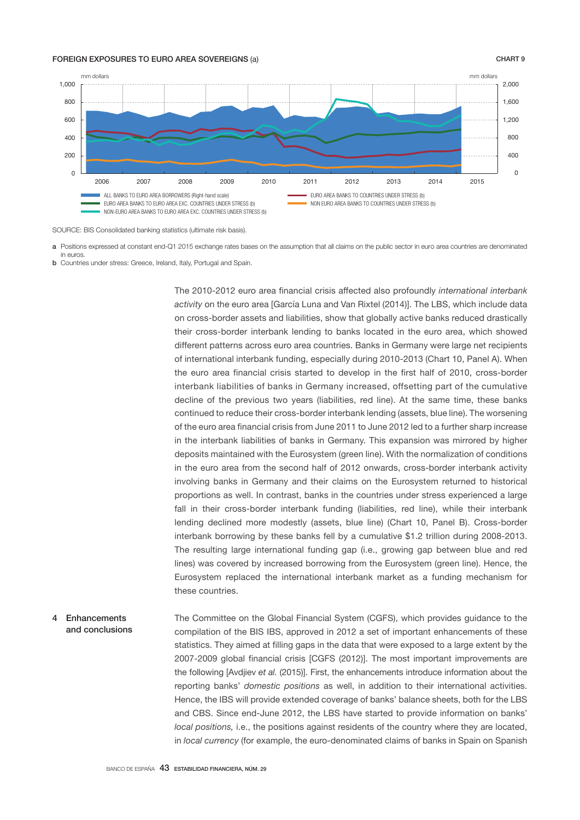### FOREIGN EXPOSURES TO EURO AREA SOVEREIGNS (a) CHART 9



SOURCE: BIS Consolidated banking statistics (ultimate risk basis).

- a Positions expressed at constant end-Q1 2015 exchange rates bases on the assumption that all claims on the public sector in euro area countries are denominated in euros.
- **b** Countries under stress: Greece, Ireland, Italy, Portugal and Spain.

The 2010-2012 euro area financial crisis affected also profoundly *international interbank activity* on the euro area [García Luna and Van Rixtel (2014)]. The LBS, which include data on cross-border assets and liabilities, show that globally active banks reduced drastically their cross-border interbank lending to banks located in the euro area, which showed different patterns across euro area countries. Banks in Germany were large net recipients of international interbank funding, especially during 2010-2013 (Chart 10, Panel A). When the euro area financial crisis started to develop in the first half of 2010, cross-border interbank liabilities of banks in Germany increased, offsetting part of the cumulative decline of the previous two years (liabilities, red line). At the same time, these banks continued to reduce their cross-border interbank lending (assets, blue line). The worsening of the euro area financial crisis from June 2011 to June 2012 led to a further sharp increase in the interbank liabilities of banks in Germany. This expansion was mirrored by higher deposits maintained with the Eurosystem (green line). With the normalization of conditions in the euro area from the second half of 2012 onwards, cross-border interbank activity involving banks in Germany and their claims on the Eurosystem returned to historical proportions as well. In contrast, banks in the countries under stress experienced a large fall in their cross-border interbank funding (liabilities, red line), while their interbank lending declined more modestly (assets, blue line) (Chart 10, Panel B). Cross-border interbank borrowing by these banks fell by a cumulative \$1.2 trillion during 2008-2013. The resulting large international funding gap (i.e., growing gap between blue and red lines) was covered by increased borrowing from the Eurosystem (green line). Hence, the Eurosystem replaced the international interbank market as a funding mechanism for these countries.

The Committee on the Global Financial System (CGFS), which provides guidance to the compilation of the BIS IBS, approved in 2012 a set of important enhancements of these statistics. They aimed at filling gaps in the data that were exposed to a large extent by the 2007-2009 global financial crisis [CGFS (2012)]. The most important improvements are the following [Avdjiev *et al.* (2015)]. First, the enhancements introduce information about the reporting banks' *domestic positions* as well, in addition to their international activities. Hence, the IBS will provide extended coverage of banks' balance sheets, both for the LBS and CBS. Since end-June 2012, the LBS have started to provide information on banks' *local positions,* i.e., the positions against residents of the country where they are located, in *local currency* (for example, the euro-denominated claims of banks in Spain on Spanish 4 Enhancements and conclusions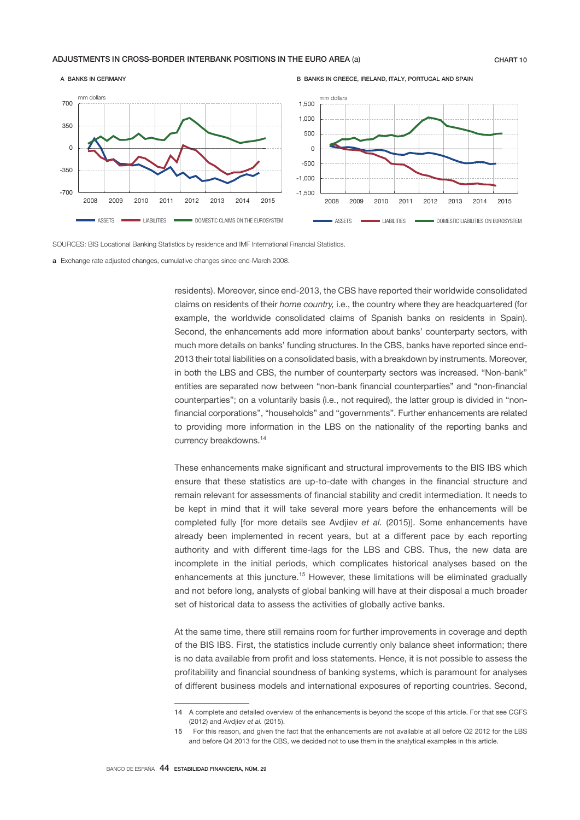### ADJUSTMENTS IN CROSS-BORDER INTERBANK POSITIONS IN THE EURO AREA (a) CHART 10



B BANKS IN GREECE, IRELAND, ITALY, PORTUGAL AND SPAIN



SOURCES: BIS Locational Banking Statistics by residence and IMF International Financial Statistics.

a Exchange rate adjusted changes, cumulative changes since end-March 2008.

residents). Moreover, since end-2013, the CBS have reported their worldwide consolidated claims on residents of their *home country,* i.e., the country where they are headquartered (for example, the worldwide consolidated claims of Spanish banks on residents in Spain). Second, the enhancements add more information about banks' counterparty sectors, with much more details on banks' funding structures. In the CBS, banks have reported since end-2013 their total liabilities on a consolidated basis, with a breakdown by instruments. Moreover, in both the LBS and CBS, the number of counterparty sectors was increased. "Non-bank" entities are separated now between "non-bank financial counterparties" and "non-financial counterparties"; on a voluntarily basis (i.e., not required), the latter group is divided in "nonfinancial corporations", "households" and "governments". Further enhancements are related to providing more information in the LBS on the nationality of the reporting banks and currency breakdowns.14

These enhancements make significant and structural improvements to the BIS IBS which ensure that these statistics are up-to-date with changes in the financial structure and remain relevant for assessments of financial stability and credit intermediation. It needs to be kept in mind that it will take several more years before the enhancements will be completed fully [for more details see Avdjiev *et al.* (2015)]. Some enhancements have already been implemented in recent years, but at a different pace by each reporting authority and with different time-lags for the LBS and CBS. Thus, the new data are incomplete in the initial periods, which complicates historical analyses based on the enhancements at this juncture.<sup>15</sup> However, these limitations will be eliminated gradually and not before long, analysts of global banking will have at their disposal a much broader set of historical data to assess the activities of globally active banks.

At the same time, there still remains room for further improvements in coverage and depth of the BIS IBS. First, the statistics include currently only balance sheet information; there is no data available from profit and loss statements. Hence, it is not possible to assess the profitability and financial soundness of banking systems, which is paramount for analyses of different business models and international exposures of reporting countries. Second,

<sup>14</sup> A complete and detailed overview of the enhancements is beyond the scope of this article. For that see CGFS (2012) and Avdjiev *et al.* (2015).

<sup>15</sup> For this reason, and given the fact that the enhancements are not available at all before Q2 2012 for the LBS and before Q4 2013 for the CBS, we decided not to use them in the analytical examples in this article.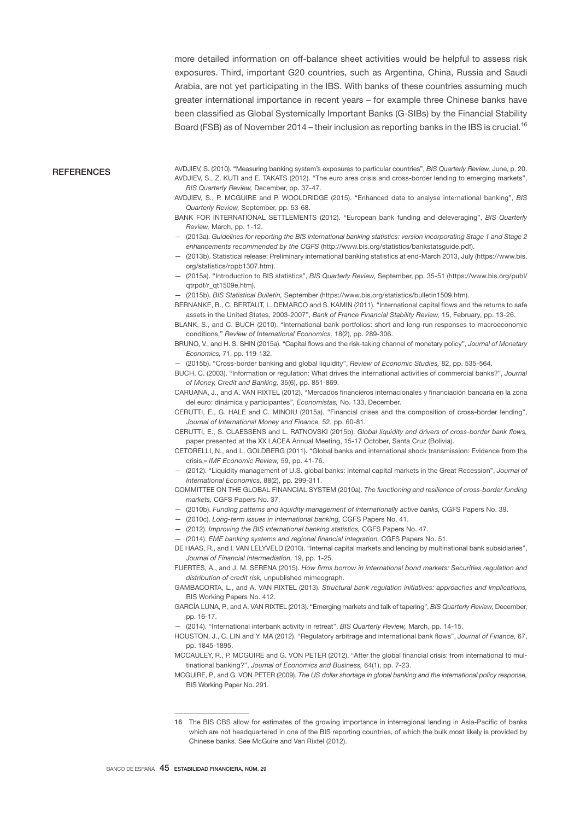more detailed information on off-balance sheet activities would be helpful to assess risk exposures. Third, important G20 countries, such as Argentina, China, Russia and Saudi Arabia, are not yet participating in the IBS. With banks of these countries assuming much greater international importance in recent years – for example three Chinese banks have been classified as Global Systemically Important Banks (G-SIBs) by the Financial Stability Board (FSB) as of November 2014 – their inclusion as reporting banks in the IBS is crucial.<sup>16</sup>

#### **REFERENCES**

- AVDJIEV, S. (2010). "Measuring banking system's exposures to particular countries", *BIS Quarterly Review,* June, p. 20. AVDJIEV, S., Z. KUTI and E. TAKATS (2012). "The euro area crisis and cross-border lending to emerging markets", *BIS Quarterly Review,* December, pp. 37-47.
- AVDJIEV, S., P. MCGUIRE and P. WOOLDRIDGE (2015). "Enhanced data to analyse international banking", *BIS Quarterly Review,* September, pp. 53-68.
- BANK FOR INTERNATIONAL SETTLEMENTS (2012). "European bank funding and deleveraging", *BIS Quarterly Review,* March, pp. 1-12.
- (2013a). *Guidelines for reporting the BIS international banking statistics: version incorporating Stage 1 and Stage 2 enhancements recommended by the CGFS* (http://www.bis.org/statistics/bankstatsguide.pdf).
- (2013b). Statistical release: Preliminary international banking statistics at end-March 2013, July (https://www.bis. org/statistics/rppb1307.htm).
- (2015a). "Introduction to BIS statistics", *BIS Quarterly Review,* September, pp. 35-51 (https://www.bis.org/publ/ qtrpdf/r\_qt1509e.htm).
- (2015b). *BIS Statistical Bulletin,* September (https://www.bis.org/statistics/bulletin1509.htm).
- BERNANKE, B., C. BERTAUT, L. DEMARCO and S. KAMIN (2011). "International capital flows and the returns to safe assets in the United States, 2003-2007", *Bank of France Financial Stability Review,* 15, February, pp. 13-26.
- BLANK, S., and C. BUCH (2010). "International bank portfolios: short and long-run responses to macroeconomic conditions," *Review of International Economics,* 18(2), pp. 289-306.
- BRUNO, V., and H. S. SHIN (2015a). "Capital flows and the risk-taking channel of monetary policy", *Journal of Monetary Economics,* 71, pp. 119-132.
- (2015b). "Cross-border banking and global liquidity", *Review of Economic Studies,* 82, pp. 535-564.
- BUCH, C. (2003). "Information or regulation: What drives the international activities of commercial banks?", *Journal of Money, Credit and Banking,* 35(6), pp. 851-869.
- CARUANA, J., and A. VAN RIXTEL (2012). "Mercados financieros internacionales y financiación bancaria en la zona del euro: dinámica y participantes", *Economistas,* No. 133, December.
- CERUTTI, E., G. HALE and C. MINOIU (2015a). "Financial crises and the composition of cross-border lending", *Journal of International Money and Finance,* 52, pp. 60-81.
- CERUTTI, E., S. CLAESSENS and L. RATNOVSKI (2015b). *Global liquidity and drivers of cross-border bank flows,*  paper presented at the XX LACEA Annual Meeting, 15-17 October, Santa Cruz (Bolivia).
- CETORELLI, N., and L. GOLDBERG (2011). "Global banks and international shock transmission: Evidence from the crisis,» *IMF Economic Review,* 59, pp. 41-76.
- (2012). "Liquidity management of U.S. global banks: Internal capital markets in the Great Recession", *Journal of International Economics,* 88(2), pp. 299-311.
- COMMITTEE ON THE GLOBAL FINANCIAL SYSTEM (2010a). *The functioning and resilience of cross-border funding markets,* CGFS Papers No. 37.
- (2010b). *Funding patterns and liquidity management of internationally active banks,* CGFS Papers No. 39.
- (2010c). *Long-term issues in international banking,* CGFS Papers No. 41.
- (2012). *Improving the BIS international banking statistics,* CGFS Papers No. 47.
- (2014). *EME banking systems and regional financial integration,* CGFS Papers No. 51.
- DE HAAS, R., and I. VAN LELYVELD (2010). "Internal capital markets and lending by multinational bank subsidiaries", *Journal of Financial Intermediation,* 19, pp. 1-25.
- FUERTES, A., and J. M. SERENA (2015). *How firms borrow in international bond markets: Securities regulation and distribution of credit risk,* unpublished mimeograph.
- GAMBACORTA, L., and A. VAN RIXTEL (2013). *Structural bank regulation initiatives: approaches and implications,*  BIS Working Papers No. 412.
- GARCÍA LUNA, P., and A. VAN RIXTEL (2013). "Emerging markets and talk of tapering", *BIS Quarterly Review,* December, pp. 16-17.
- (2014). "International interbank activity in retreat", *BIS Quarterly Review,* March, pp. 14-15.
- HOUSTON, J., C. LIN and Y. MA (2012). "Regulatory arbitrage and international bank flows", *Journal of Finance,* 67, pp. 1845-1895.
- MCCAULEY, R., P. MCGUIRE and G. VON PETER (2012), "After the global financial crisis: from international to multinational banking?", *Journal of Economics and Business,* 64(1), pp. 7-23.
- MCGUIRE, P., and G. VON PETER (2009). *The US dollar shortage in global banking and the international policy response,* BIS Working Paper No. 291.

<sup>16</sup> The BIS CBS allow for estimates of the growing importance in interregional lending in Asia-Pacific of banks which are not headquartered in one of the BIS reporting countries, of which the bulk most likely is provided by Chinese banks. See McGuire and Van Rixtel (2012).